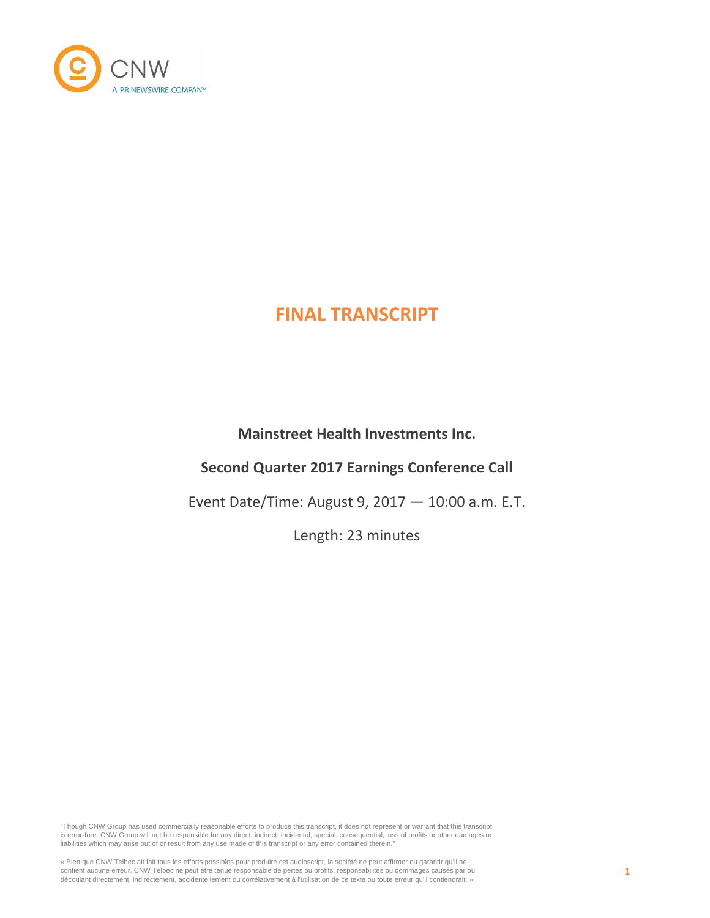

# **Mainstreet Health Investments Inc.**

# **Second Quarter 2017 Earnings Conference Call**

Event Date/Time: August 9, 2017 — 10:00 a.m. E.T.

Length: 23 minutes

"Though CNW Group has used commercially reasonable efforts to produce this transcript, it does not represent or warrant that this transcript is error-free. CNW Group will not be responsible for any direct, indirect, incidental, special, consequential, loss of profits or other damages or liabilities which may arise out of or result from any use made of this transcript or any error contained therein."

« Bien que CNW Telbec ait fait tous les efforts possibles pour produire cet audioscript, la société ne peut affirmer ou garantir qu'il ne<br>contient aucune erreur. CNW Telbec ne peut être tenue responsable de pertes ou profi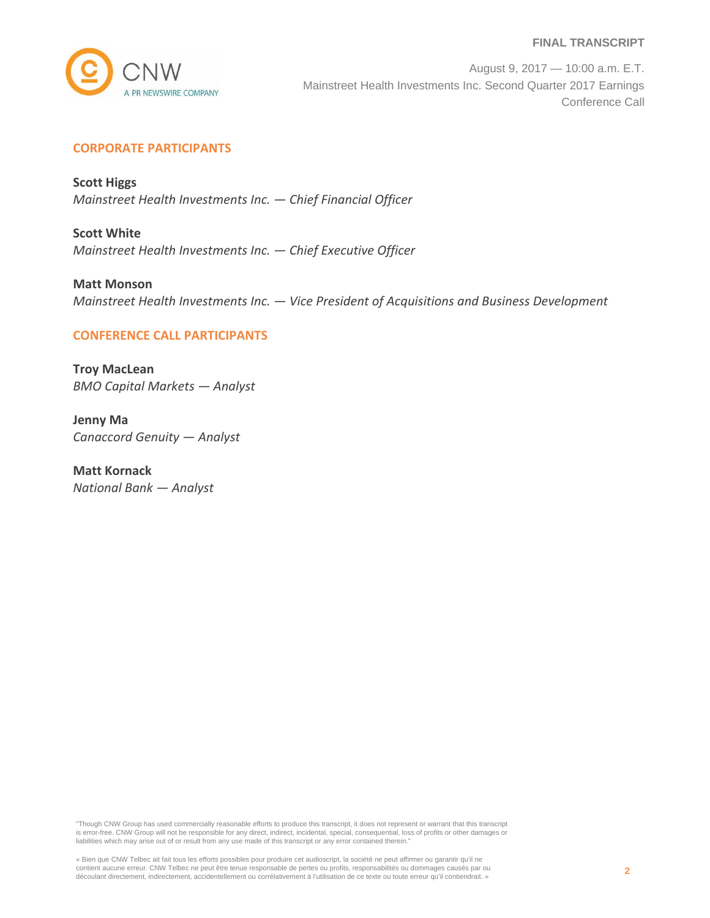

August 9, 2017 — 10:00 a.m. E.T. Mainstreet Health Investments Inc. Second Quarter 2017 Earnings Conference Call

## **CORPORATE PARTICIPANTS**

**Scott Higgs** *Mainstreet Health Investments Inc. — Chief Financial Officer*

**Scott White** *Mainstreet Health Investments Inc. — Chief Executive Officer*

**Matt Monson** *Mainstreet Health Investments Inc. — Vice President of Acquisitions and Business Development*

## **CONFERENCE CALL PARTICIPANTS**

**Troy MacLean** *BMO Capital Markets — Analyst*

**Jenny Ma** *Canaccord Genuity — Analyst*

**Matt Kornack** *National Bank — Analyst*

"Though CNW Group has used commercially reasonable efforts to produce this transcript, it does not represent or warrant that this transcript is error-free. CNW Group will not be responsible for any direct, indirect, incidental, special, consequential, loss of profits or other damages or liabilities which may arise out of or result from any use made of this transcript or any error contained therein."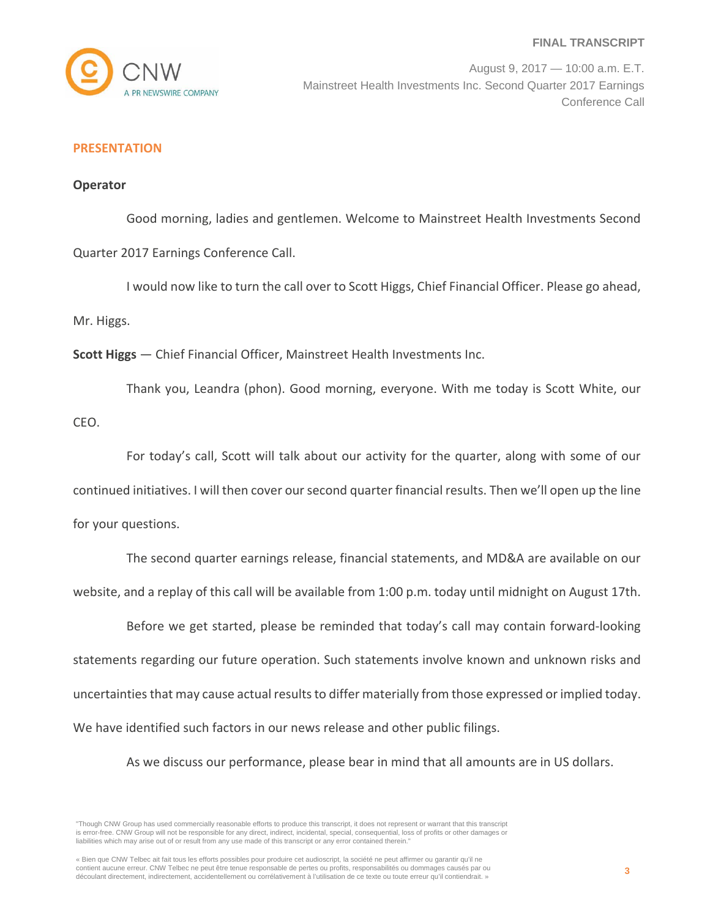

August 9, 2017 — 10:00 a.m. E.T. Mainstreet Health Investments Inc. Second Quarter 2017 Earnings Conference Call

## **PRESENTATION**

#### **Operator**

Good morning, ladies and gentlemen. Welcome to Mainstreet Health Investments Second

Quarter 2017 Earnings Conference Call.

I would now like to turn the call over to Scott Higgs, Chief Financial Officer. Please go ahead,

Mr. Higgs.

**Scott Higgs** — Chief Financial Officer, Mainstreet Health Investments Inc.

Thank you, Leandra (phon). Good morning, everyone. With me today is Scott White, our CEO.

For today's call, Scott will talk about our activity for the quarter, along with some of our continued initiatives. I will then cover our second quarter financial results. Then we'll open up the line for your questions.

The second quarter earnings release, financial statements, and MD&A are available on our website, and a replay of this call will be available from 1:00 p.m. today until midnight on August 17th.

Before we get started, please be reminded that today's call may contain forward-looking statements regarding our future operation. Such statements involve known and unknown risks and uncertainties that may cause actual results to differ materially from those expressed or implied today. We have identified such factors in our news release and other public filings.

As we discuss our performance, please bear in mind that all amounts are in US dollars.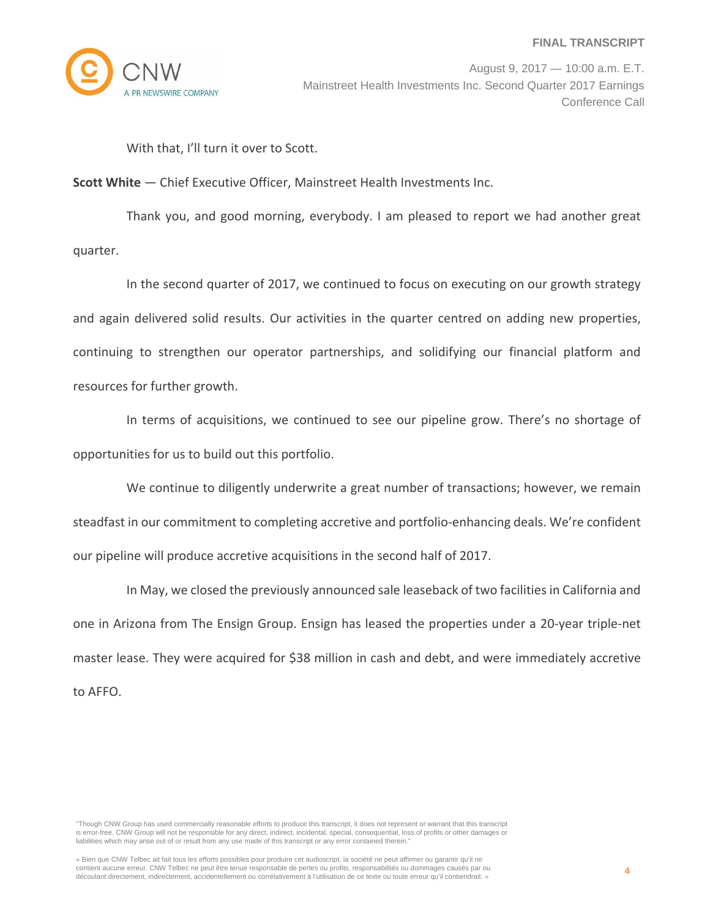

With that, I'll turn it over to Scott.

**Scott White** — Chief Executive Officer, Mainstreet Health Investments Inc.

Thank you, and good morning, everybody. I am pleased to report we had another great quarter.

In the second quarter of 2017, we continued to focus on executing on our growth strategy and again delivered solid results. Our activities in the quarter centred on adding new properties, continuing to strengthen our operator partnerships, and solidifying our financial platform and resources for further growth.

In terms of acquisitions, we continued to see our pipeline grow. There's no shortage of opportunities for us to build out this portfolio.

We continue to diligently underwrite a great number of transactions; however, we remain steadfast in our commitment to completing accretive and portfolio‐enhancing deals. We're confident our pipeline will produce accretive acquisitions in the second half of 2017.

In May, we closed the previously announced sale leaseback of two facilities in California and one in Arizona from The Ensign Group. Ensign has leased the properties under a 20‐year triple‐net master lease. They were acquired for \$38 million in cash and debt, and were immediately accretive to AFFO.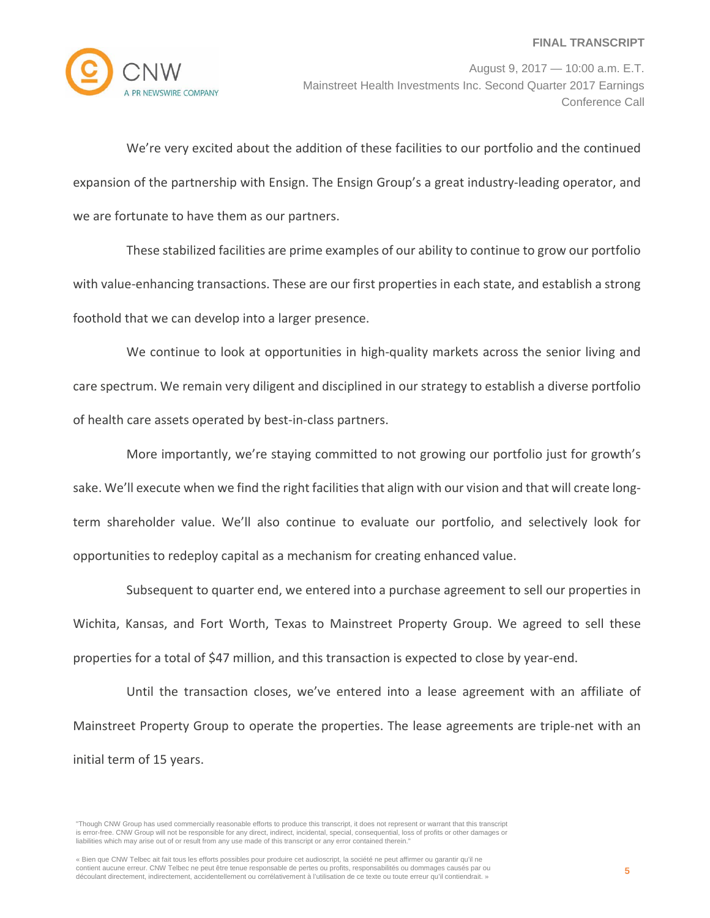

August 9, 2017 — 10:00 a.m. E.T. Mainstreet Health Investments Inc. Second Quarter 2017 Earnings Conference Call

We're very excited about the addition of these facilities to our portfolio and the continued expansion of the partnership with Ensign. The Ensign Group's a great industry‐leading operator, and we are fortunate to have them as our partners.

These stabilized facilities are prime examples of our ability to continue to grow our portfolio with value-enhancing transactions. These are our first properties in each state, and establish a strong foothold that we can develop into a larger presence.

We continue to look at opportunities in high-quality markets across the senior living and care spectrum. We remain very diligent and disciplined in our strategy to establish a diverse portfolio of health care assets operated by best‐in‐class partners.

More importantly, we're staying committed to not growing our portfolio just for growth's sake. We'll execute when we find the right facilities that align with our vision and that will create longterm shareholder value. We'll also continue to evaluate our portfolio, and selectively look for opportunities to redeploy capital as a mechanism for creating enhanced value.

Subsequent to quarter end, we entered into a purchase agreement to sell our properties in Wichita, Kansas, and Fort Worth, Texas to Mainstreet Property Group. We agreed to sell these properties for a total of \$47 million, and this transaction is expected to close by year‐end.

Until the transaction closes, we've entered into a lease agreement with an affiliate of Mainstreet Property Group to operate the properties. The lease agreements are triple‐net with an initial term of 15 years.

<sup>&</sup>quot;Though CNW Group has used commercially reasonable efforts to produce this transcript, it does not represent or warrant that this transcript is error-free. CNW Group will not be responsible for any direct, indirect, incidental, special, consequential, loss of profits or other damages or liabilities which may arise out of or result from any use made of this transcript or any error contained therein."

<sup>«</sup> Bien que CNW Telbec ait fait tous les efforts possibles pour produire cet audioscript, la société ne peut affirmer ou garantir qu'il ne contient aucune erreur. CNW Telbec ne peut être tenue responsable de pertes ou profits, responsabilités ou dommages causés par ou découlant directement, indirectement, accidentellement ou corrélativement à l'utilisation de ce texte ou toute erreur qu'il contiendrait. »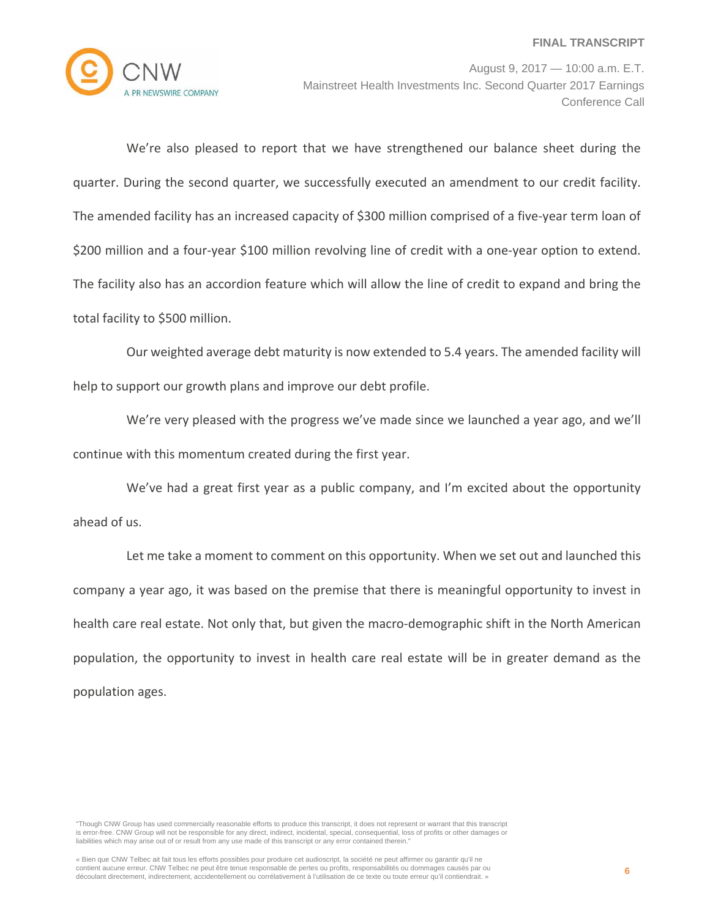

August 9, 2017 — 10:00 a.m. E.T. Mainstreet Health Investments Inc. Second Quarter 2017 Earnings Conference Call

We're also pleased to report that we have strengthened our balance sheet during the quarter. During the second quarter, we successfully executed an amendment to our credit facility. The amended facility has an increased capacity of \$300 million comprised of a five-year term loan of \$200 million and a four-year \$100 million revolving line of credit with a one-year option to extend. The facility also has an accordion feature which will allow the line of credit to expand and bring the total facility to \$500 million.

Our weighted average debt maturity is now extended to 5.4 years. The amended facility will help to support our growth plans and improve our debt profile.

We're very pleased with the progress we've made since we launched a year ago, and we'll continue with this momentum created during the first year.

We've had a great first year as a public company, and I'm excited about the opportunity ahead of us.

Let me take a moment to comment on this opportunity. When we set out and launched this company a year ago, it was based on the premise that there is meaningful opportunity to invest in health care real estate. Not only that, but given the macro-demographic shift in the North American population, the opportunity to invest in health care real estate will be in greater demand as the population ages.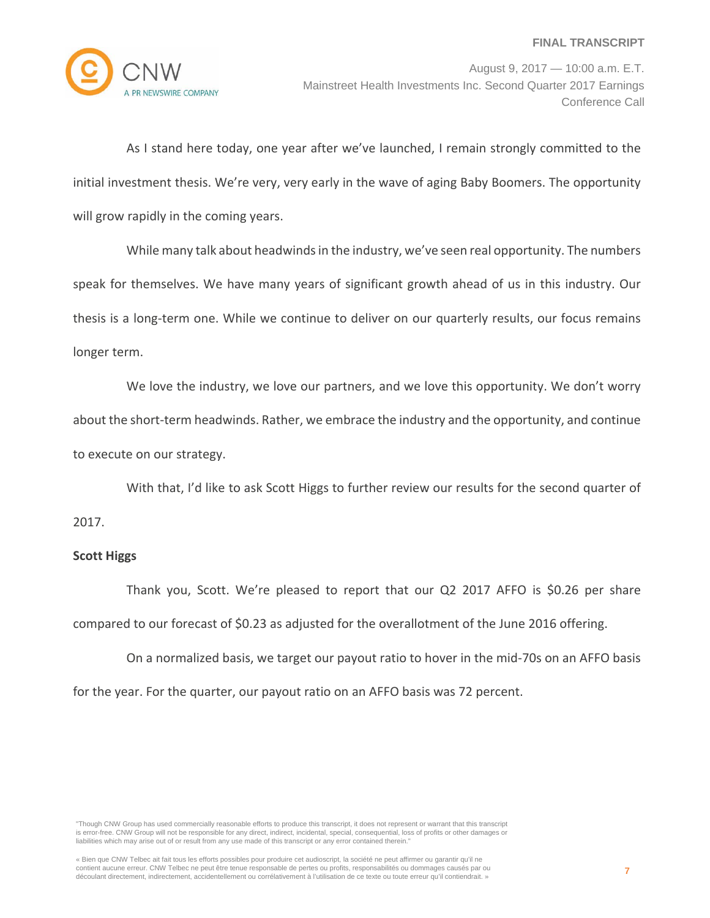

As I stand here today, one year after we've launched, I remain strongly committed to the initial investment thesis. We're very, very early in the wave of aging Baby Boomers. The opportunity will grow rapidly in the coming years.

While many talk about headwinds in the industry, we've seen real opportunity. The numbers speak for themselves. We have many years of significant growth ahead of us in this industry. Our thesis is a long‐term one. While we continue to deliver on our quarterly results, our focus remains longer term.

We love the industry, we love our partners, and we love this opportunity. We don't worry about the short-term headwinds. Rather, we embrace the industry and the opportunity, and continue to execute on our strategy.

With that, I'd like to ask Scott Higgs to further review our results for the second quarter of

## 2017.

#### **Scott Higgs**

Thank you, Scott. We're pleased to report that our Q2 2017 AFFO is \$0.26 per share compared to our forecast of \$0.23 as adjusted for the overallotment of the June 2016 offering.

On a normalized basis, we target our payout ratio to hover in the mid‐70s on an AFFO basis for the year. For the quarter, our payout ratio on an AFFO basis was 72 percent.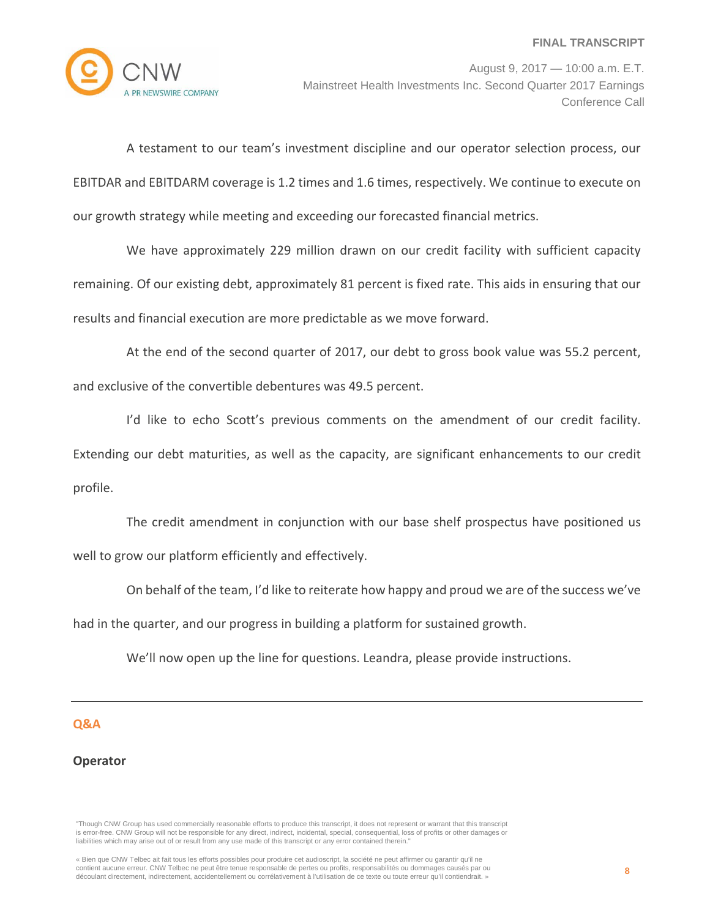

A testament to our team's investment discipline and our operator selection process, our EBITDAR and EBITDARM coverage is 1.2 times and 1.6 times, respectively. We continue to execute on our growth strategy while meeting and exceeding our forecasted financial metrics.

We have approximately 229 million drawn on our credit facility with sufficient capacity remaining. Of our existing debt, approximately 81 percent is fixed rate. This aids in ensuring that our results and financial execution are more predictable as we move forward.

At the end of the second quarter of 2017, our debt to gross book value was 55.2 percent, and exclusive of the convertible debentures was 49.5 percent.

I'd like to echo Scott's previous comments on the amendment of our credit facility. Extending our debt maturities, as well as the capacity, are significant enhancements to our credit profile.

The credit amendment in conjunction with our base shelf prospectus have positioned us well to grow our platform efficiently and effectively.

On behalf of the team, I'd like to reiterate how happy and proud we are of the success we've had in the quarter, and our progress in building a platform for sustained growth.

We'll now open up the line for questions. Leandra, please provide instructions.

#### **Q&A**

## **Operator**

"Though CNW Group has used commercially reasonable efforts to produce this transcript, it does not represent or warrant that this transcript is error-free. CNW Group will not be responsible for any direct, indirect, incidental, special, consequential, loss of profits or other damages or liabilities which may arise out of or result from any use made of this transcript or any error contained therein."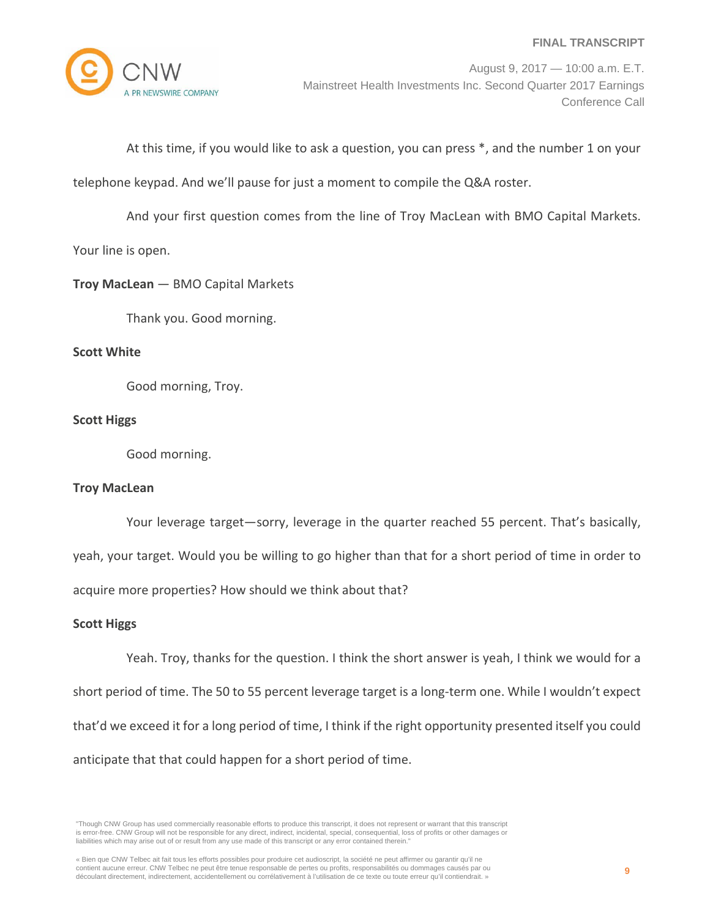

August 9, 2017 — 10:00 a.m. E.T. Mainstreet Health Investments Inc. Second Quarter 2017 Earnings Conference Call

At this time, if you would like to ask a question, you can press \*, and the number 1 on your

telephone keypad. And we'll pause for just a moment to compile the Q&A roster.

And your first question comes from the line of Troy MacLean with BMO Capital Markets. Your line is open.

## **Troy MacLean** — BMO Capital Markets

Thank you. Good morning.

#### **Scott White**

Good morning, Troy.

## **Scott Higgs**

Good morning.

#### **Troy MacLean**

Your leverage target—sorry, leverage in the quarter reached 55 percent. That's basically, yeah, your target. Would you be willing to go higher than that for a short period of time in order to acquire more properties? How should we think about that?

## **Scott Higgs**

Yeah. Troy, thanks for the question. I think the short answer is yeah, I think we would for a short period of time. The 50 to 55 percent leverage target is a long‐term one. While I wouldn't expect that'd we exceed it for a long period of time, I think if the right opportunity presented itself you could anticipate that that could happen for a short period of time.

"Though CNW Group has used commercially reasonable efforts to produce this transcript, it does not represent or warrant that this transcript is error-free. CNW Group will not be responsible for any direct, indirect, incidental, special, consequential, loss of profits or other damages or liabilities which may arise out of or result from any use made of this transcript or any error contained therein."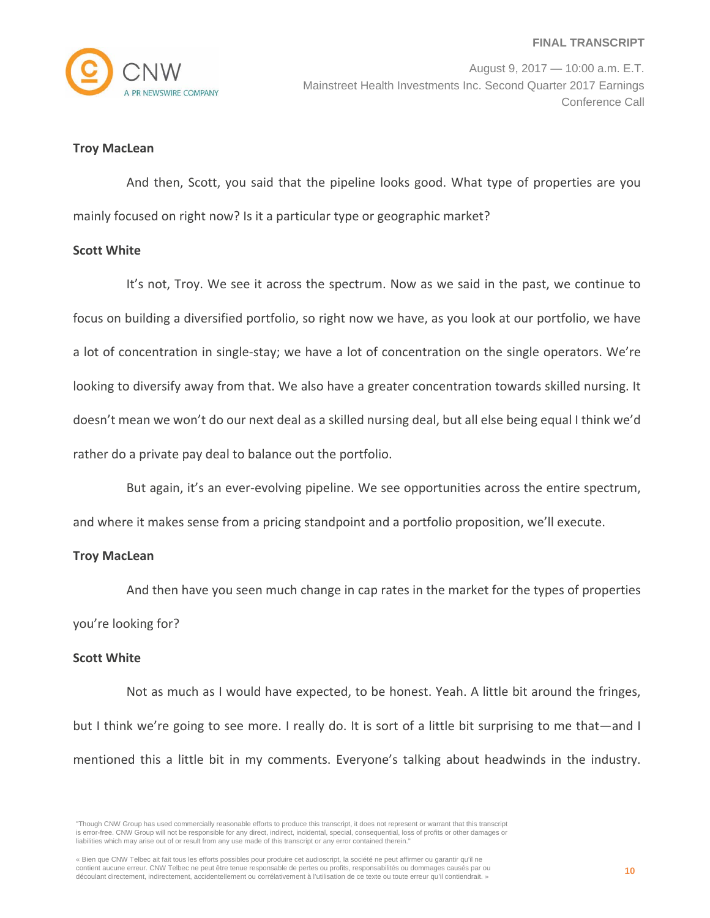

#### **Troy MacLean**

And then, Scott, you said that the pipeline looks good. What type of properties are you mainly focused on right now? Is it a particular type or geographic market?

#### **Scott White**

It's not, Troy. We see it across the spectrum. Now as we said in the past, we continue to focus on building a diversified portfolio, so right now we have, as you look at our portfolio, we have a lot of concentration in single‐stay; we have a lot of concentration on the single operators. We're looking to diversify away from that. We also have a greater concentration towards skilled nursing. It doesn't mean we won't do our next deal as a skilled nursing deal, but all else being equal I think we'd rather do a private pay deal to balance out the portfolio.

But again, it's an ever-evolving pipeline. We see opportunities across the entire spectrum, and where it makes sense from a pricing standpoint and a portfolio proposition, we'll execute.

#### **Troy MacLean**

And then have you seen much change in cap rates in the market for the types of properties you're looking for?

#### **Scott White**

Not as much as I would have expected, to be honest. Yeah. A little bit around the fringes, but I think we're going to see more. I really do. It is sort of a little bit surprising to me that—and I mentioned this a little bit in my comments. Everyone's talking about headwinds in the industry.

<sup>&</sup>quot;Though CNW Group has used commercially reasonable efforts to produce this transcript, it does not represent or warrant that this transcript is error-free. CNW Group will not be responsible for any direct, indirect, incidental, special, consequential, loss of profits or other damages or liabilities which may arise out of or result from any use made of this transcript or any error contained therein."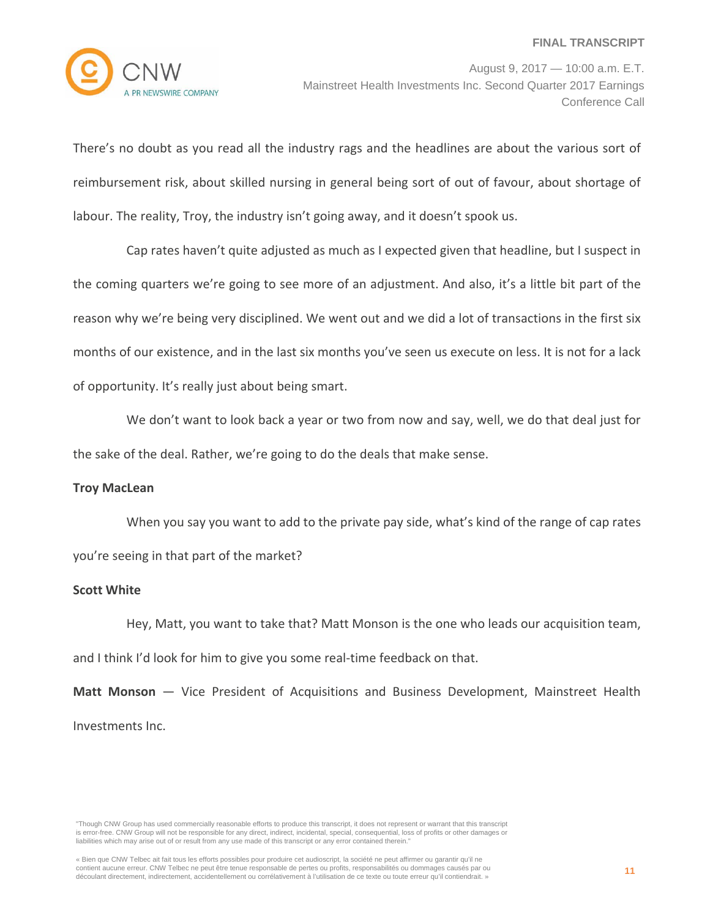

There's no doubt as you read all the industry rags and the headlines are about the various sort of reimbursement risk, about skilled nursing in general being sort of out of favour, about shortage of labour. The reality, Troy, the industry isn't going away, and it doesn't spook us.

Cap rates haven't quite adjusted as much as I expected given that headline, but I suspect in the coming quarters we're going to see more of an adjustment. And also, it's a little bit part of the reason why we're being very disciplined. We went out and we did a lot of transactions in the first six months of our existence, and in the last six months you've seen us execute on less. It is not for a lack of opportunity. It's really just about being smart.

We don't want to look back a year or two from now and say, well, we do that deal just for the sake of the deal. Rather, we're going to do the deals that make sense.

#### **Troy MacLean**

When you say you want to add to the private pay side, what's kind of the range of cap rates you're seeing in that part of the market?

## **Scott White**

Hey, Matt, you want to take that? Matt Monson is the one who leads our acquisition team, and I think I'd look for him to give you some real‐time feedback on that.

**Matt Monson** — Vice President of Acquisitions and Business Development, Mainstreet Health Investments Inc.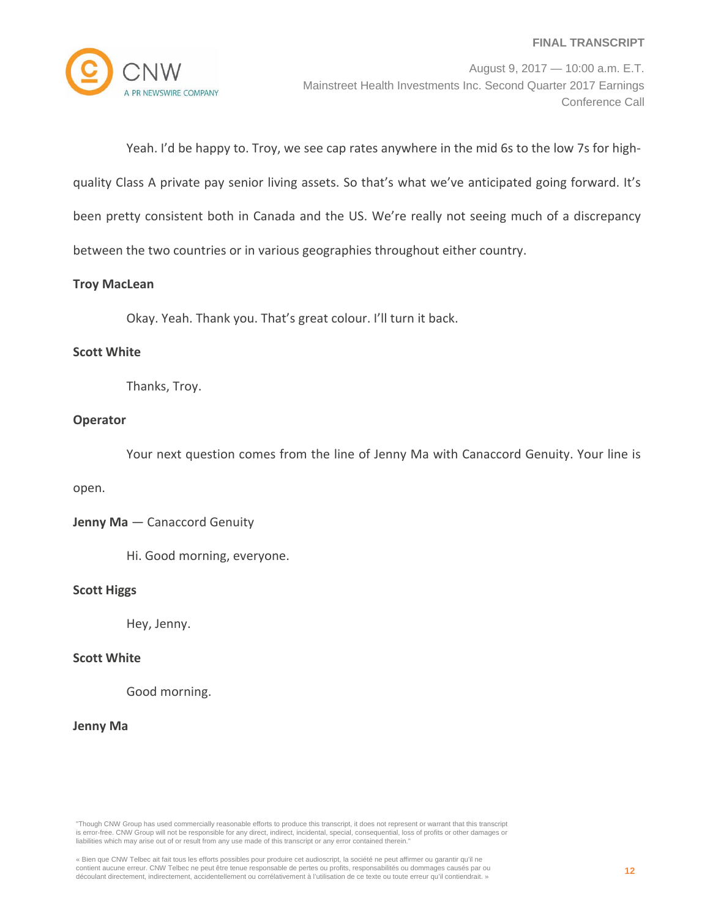

Yeah. I'd be happy to. Troy, we see cap rates anywhere in the mid 6s to the low 7s for high‐ quality Class A private pay senior living assets. So that's what we've anticipated going forward. It's been pretty consistent both in Canada and the US. We're really not seeing much of a discrepancy between the two countries or in various geographies throughout either country.

## **Troy MacLean**

Okay. Yeah. Thank you. That's great colour. I'll turn it back.

#### **Scott White**

Thanks, Troy.

## **Operator**

Your next question comes from the line of Jenny Ma with Canaccord Genuity. Your line is

#### open.

**Jenny Ma** — Canaccord Genuity

Hi. Good morning, everyone.

#### **Scott Higgs**

Hey, Jenny.

## **Scott White**

Good morning.

## **Jenny Ma**

"Though CNW Group has used commercially reasonable efforts to produce this transcript, it does not represent or warrant that this transcript is error-free. CNW Group will not be responsible for any direct, indirect, incidental, special, consequential, loss of profits or other damages or liabilities which may arise out of or result from any use made of this transcript or any error contained therein."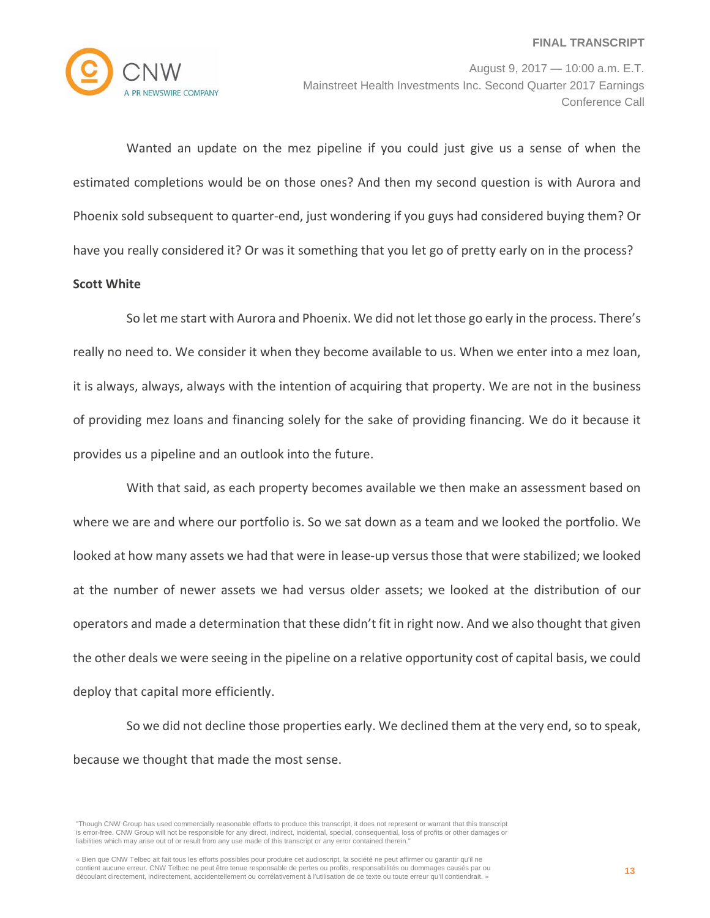

August 9, 2017 — 10:00 a.m. E.T. Mainstreet Health Investments Inc. Second Quarter 2017 Earnings Conference Call

Wanted an update on the mez pipeline if you could just give us a sense of when the estimated completions would be on those ones? And then my second question is with Aurora and Phoenix sold subsequent to quarter‐end, just wondering if you guys had considered buying them? Or have you really considered it? Or was it something that you let go of pretty early on in the process? **Scott White**

# So let me start with Aurora and Phoenix. We did not let those go early in the process. There's really no need to. We consider it when they become available to us. When we enter into a mez loan, it is always, always, always with the intention of acquiring that property. We are not in the business of providing mez loans and financing solely for the sake of providing financing. We do it because it provides us a pipeline and an outlook into the future.

With that said, as each property becomes available we then make an assessment based on where we are and where our portfolio is. So we sat down as a team and we looked the portfolio. We looked at how many assets we had that were in lease‐up versusthose that were stabilized; we looked at the number of newer assets we had versus older assets; we looked at the distribution of our operators and made a determination that these didn't fit in right now. And we also thought that given the other deals we were seeing in the pipeline on a relative opportunity cost of capital basis, we could deploy that capital more efficiently.

So we did not decline those properties early. We declined them at the very end, so to speak, because we thought that made the most sense.

<sup>&</sup>quot;Though CNW Group has used commercially reasonable efforts to produce this transcript, it does not represent or warrant that this transcript is error-free. CNW Group will not be responsible for any direct, indirect, incidental, special, consequential, loss of profits or other damages or liabilities which may arise out of or result from any use made of this transcript or any error contained therein."

<sup>«</sup> Bien que CNW Telbec ait fait tous les efforts possibles pour produire cet audioscript, la société ne peut affirmer ou garantir qu'il ne contient aucune erreur. CNW Telbec ne peut être tenue responsable de pertes ou profits, responsabilités ou dommages causés par ou découlant directement, indirectement, accidentellement ou corrélativement à l'utilisation de ce texte ou toute erreur qu'il contiendrait. »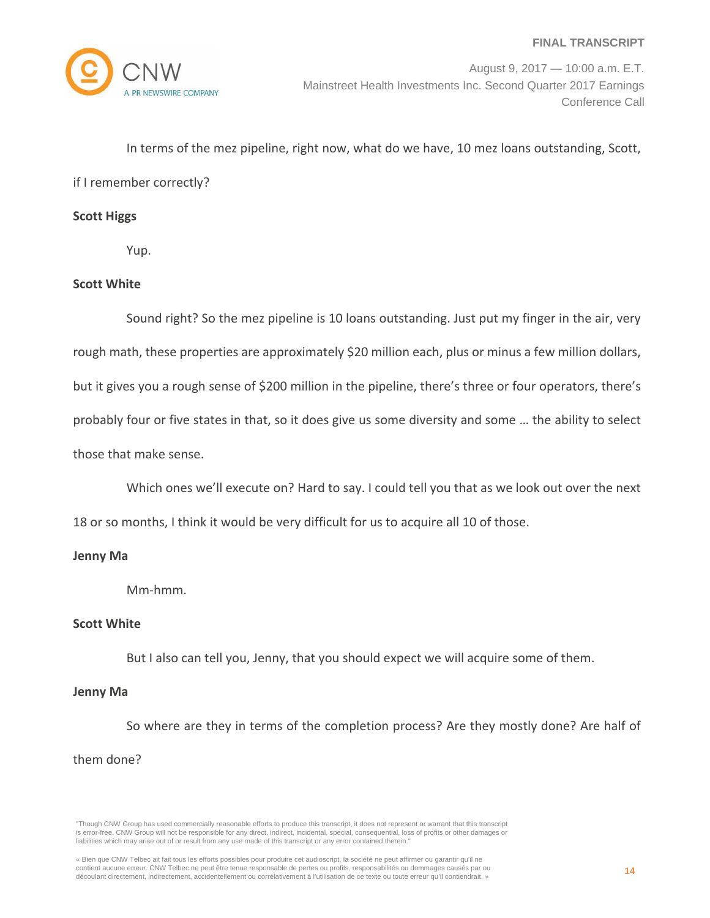

In terms of the mez pipeline, right now, what do we have, 10 mez loans outstanding, Scott,

if I remember correctly?

#### **Scott Higgs**

Yup.

## **Scott White**

Sound right? So the mez pipeline is 10 loans outstanding. Just put my finger in the air, very rough math, these properties are approximately \$20 million each, plus or minus a few million dollars, but it gives you a rough sense of \$200 million in the pipeline, there's three or four operators, there's probably four or five states in that, so it does give us some diversity and some … the ability to select those that make sense.

Which ones we'll execute on? Hard to say. I could tell you that as we look out over the next

18 or so months, I think it would be very difficult for us to acquire all 10 of those.

#### **Jenny Ma**

Mm‐hmm.

#### **Scott White**

But I also can tell you, Jenny, that you should expect we will acquire some of them.

#### **Jenny Ma**

So where are they in terms of the completion process? Are they mostly done? Are half of them done?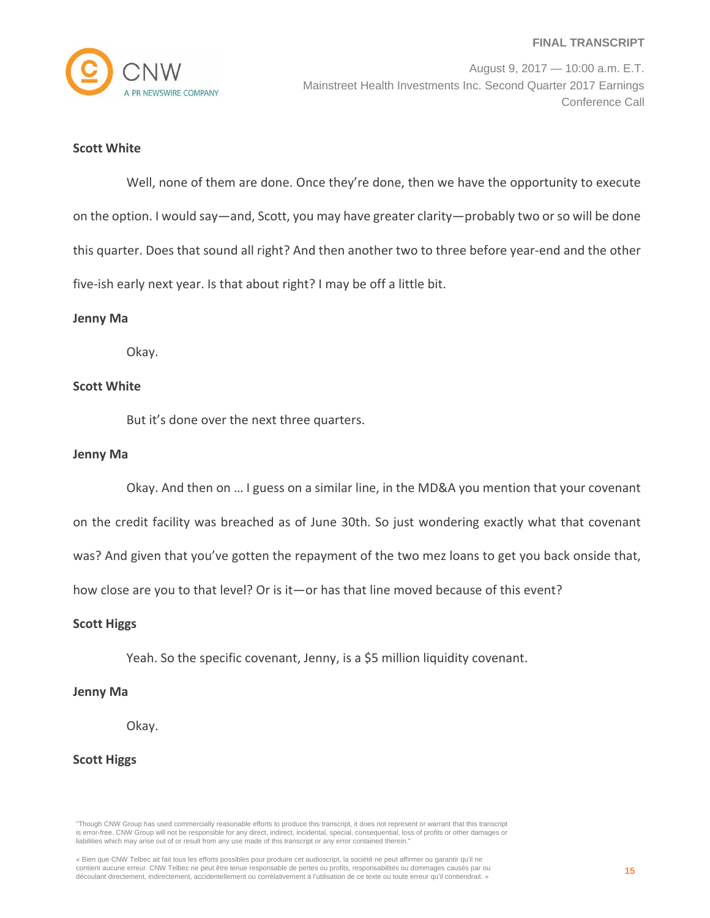

August 9, 2017 — 10:00 a.m. E.T. Mainstreet Health Investments Inc. Second Quarter 2017 Earnings Conference Call

#### **Scott White**

Well, none of them are done. Once they're done, then we have the opportunity to execute on the option. I would say—and, Scott, you may have greater clarity—probably two or so will be done this quarter. Does that sound all right? And then another two to three before year-end and the other five-ish early next year. Is that about right? I may be off a little bit.

#### **Jenny Ma**

Okay.

#### **Scott White**

But it's done over the next three quarters.

#### **Jenny Ma**

Okay. And then on … I guess on a similar line, in the MD&A you mention that your covenant

on the credit facility was breached as of June 30th. So just wondering exactly what that covenant

was? And given that you've gotten the repayment of the two mez loans to get you back onside that,

how close are you to that level? Or is it—or has that line moved because of this event?

#### **Scott Higgs**

Yeah. So the specific covenant, Jenny, is a \$5 million liquidity covenant.

#### **Jenny Ma**

Okay.

#### **Scott Higgs**

"Though CNW Group has used commercially reasonable efforts to produce this transcript, it does not represent or warrant that this transcript is error-free. CNW Group will not be responsible for any direct, indirect, incidental, special, consequential, loss of profits or other damages or liabilities which may arise out of or result from any use made of this transcript or any error contained therein."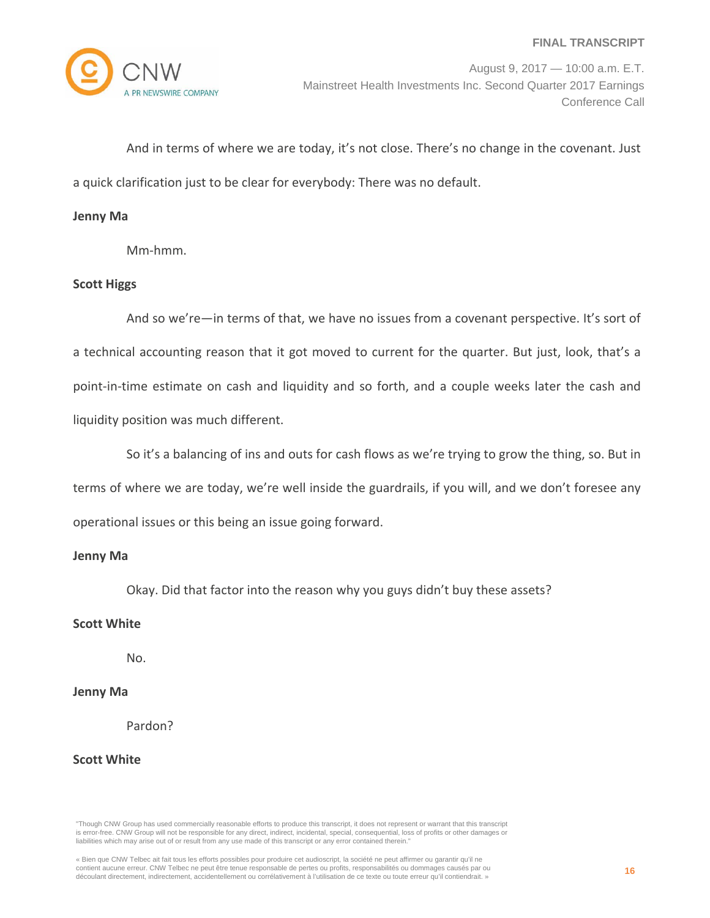

And in terms of where we are today, it's not close. There's no change in the covenant. Just a quick clarification just to be clear for everybody: There was no default.

#### **Jenny Ma**

Mm‐hmm.

#### **Scott Higgs**

And so we're—in terms of that, we have no issues from a covenant perspective. It's sort of a technical accounting reason that it got moved to current for the quarter. But just, look, that's a point-in-time estimate on cash and liquidity and so forth, and a couple weeks later the cash and liquidity position was much different.

So it's a balancing of ins and outs for cash flows as we're trying to grow the thing, so. But in terms of where we are today, we're well inside the guardrails, if you will, and we don't foresee any operational issues or this being an issue going forward.

#### **Jenny Ma**

Okay. Did that factor into the reason why you guys didn't buy these assets?

#### **Scott White**

No.

#### **Jenny Ma**

Pardon?

#### **Scott White**

"Though CNW Group has used commercially reasonable efforts to produce this transcript, it does not represent or warrant that this transcript is error-free. CNW Group will not be responsible for any direct, indirect, incidental, special, consequential, loss of profits or other damages or liabilities which may arise out of or result from any use made of this transcript or any error contained therein."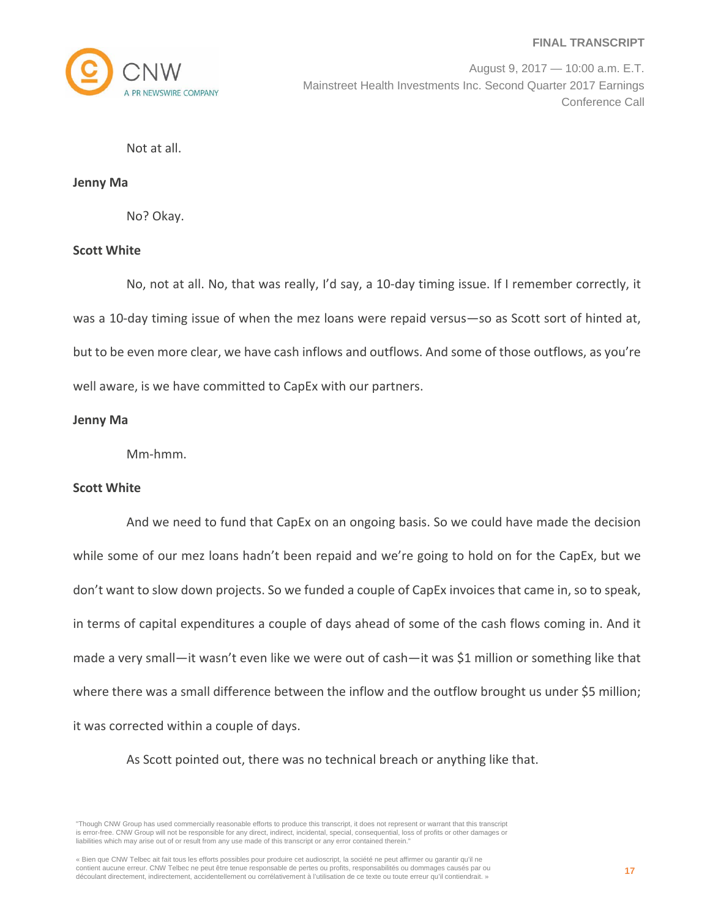

August 9, 2017 — 10:00 a.m. E.T. Mainstreet Health Investments Inc. Second Quarter 2017 Earnings Conference Call

Not at all.

**Jenny Ma**

No? Okay.

#### **Scott White**

No, not at all. No, that was really, I'd say, a 10‐day timing issue. If I remember correctly, it was a 10-day timing issue of when the mez loans were repaid versus—so as Scott sort of hinted at, but to be even more clear, we have cash inflows and outflows. And some of those outflows, as you're well aware, is we have committed to CapEx with our partners.

## **Jenny Ma**

Mm‐hmm.

#### **Scott White**

And we need to fund that CapEx on an ongoing basis. So we could have made the decision while some of our mez loans hadn't been repaid and we're going to hold on for the CapEx, but we don't want to slow down projects. So we funded a couple of CapEx invoices that came in, so to speak, in terms of capital expenditures a couple of days ahead of some of the cash flows coming in. And it made a very small—it wasn't even like we were out of cash—it was \$1 million or something like that where there was a small difference between the inflow and the outflow brought us under \$5 million; it was corrected within a couple of days.

As Scott pointed out, there was no technical breach or anything like that.

"Though CNW Group has used commercially reasonable efforts to produce this transcript, it does not represent or warrant that this transcript is error-free. CNW Group will not be responsible for any direct, indirect, incidental, special, consequential, loss of profits or other damages or liabilities which may arise out of or result from any use made of this transcript or any error contained therein."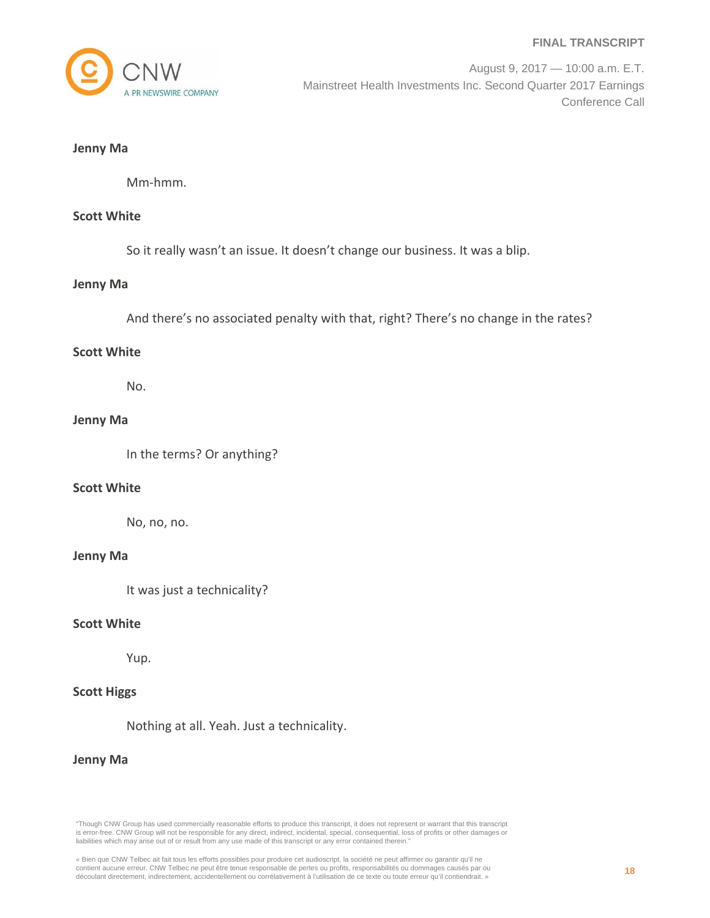

August 9, 2017 — 10:00 a.m. E.T. Mainstreet Health Investments Inc. Second Quarter 2017 Earnings Conference Call

#### **Jenny Ma**

Mm‐hmm.

## **Scott White**

So it really wasn't an issue. It doesn't change our business. It was a blip.

#### **Jenny Ma**

And there's no associated penalty with that, right? There's no change in the rates?

#### **Scott White**

No.

## **Jenny Ma**

In the terms? Or anything?

#### **Scott White**

No, no, no.

#### **Jenny Ma**

It was just a technicality?

## **Scott White**

Yup.

## **Scott Higgs**

Nothing at all. Yeah. Just a technicality.

#### **Jenny Ma**

<sup>«</sup> Bien que CNW Telbec ait fait tous les efforts possibles pour produire cet audioscript, la société ne peut affirmer ou garantir qu'il ne contient aucune erreur. CNW Telbec ne peut être tenue responsable de pertes ou profits, responsabilités ou dommages causés par ou découlant directement, indirectement, accidentellement ou corrélativement à l'utilisation de ce texte ou toute erreur qu'il contiendrait. »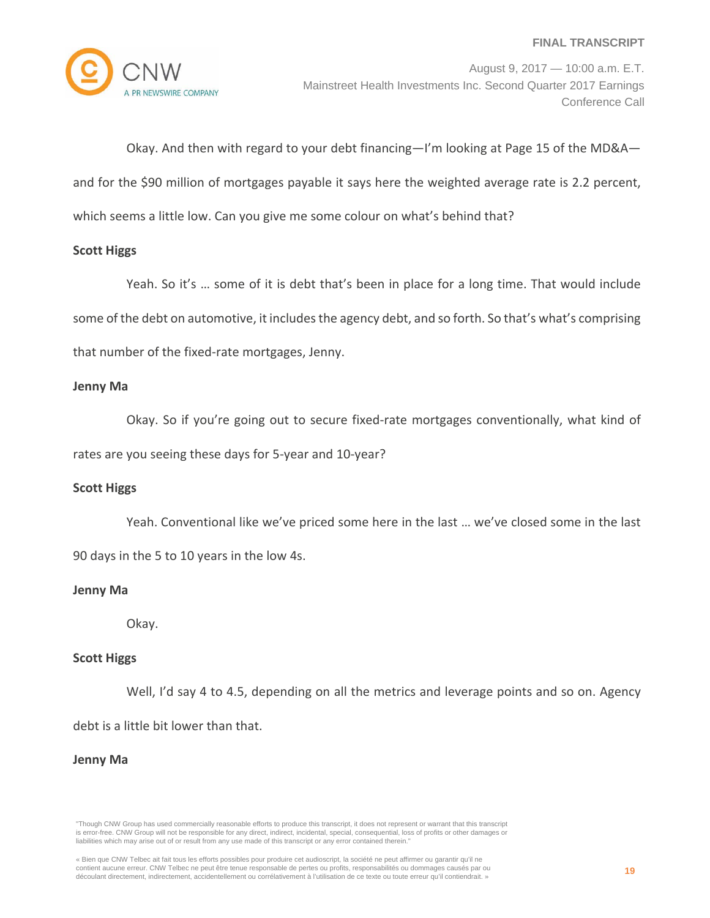

August 9, 2017 — 10:00 a.m. E.T. Mainstreet Health Investments Inc. Second Quarter 2017 Earnings Conference Call

Okay. And then with regard to your debt financing—I'm looking at Page 15 of the MD&A and for the \$90 million of mortgages payable it says here the weighted average rate is 2.2 percent,

which seems a little low. Can you give me some colour on what's behind that?

## **Scott Higgs**

Yeah. So it's … some of it is debt that's been in place for a long time. That would include some of the debt on automotive, it includes the agency debt, and so forth. So that's what's comprising that number of the fixed‐rate mortgages, Jenny.

## **Jenny Ma**

Okay. So if you're going out to secure fixed-rate mortgages conventionally, what kind of rates are you seeing these days for 5‐year and 10‐year?

## **Scott Higgs**

Yeah. Conventional like we've priced some here in the last … we've closed some in the last 90 days in the 5 to 10 years in the low 4s.

## **Jenny Ma**

Okay.

#### **Scott Higgs**

Well, I'd say 4 to 4.5, depending on all the metrics and leverage points and so on. Agency debt is a little bit lower than that.

#### **Jenny Ma**

<sup>«</sup> Bien que CNW Telbec ait fait tous les efforts possibles pour produire cet audioscript, la société ne peut affirmer ou garantir qu'il ne contient aucune erreur. CNW Telbec ne peut être tenue responsable de pertes ou profits, responsabilités ou dommages causés par ou découlant directement, indirectement, accidentellement ou corrélativement à l'utilisation de ce texte ou toute erreur qu'il contiendrait. »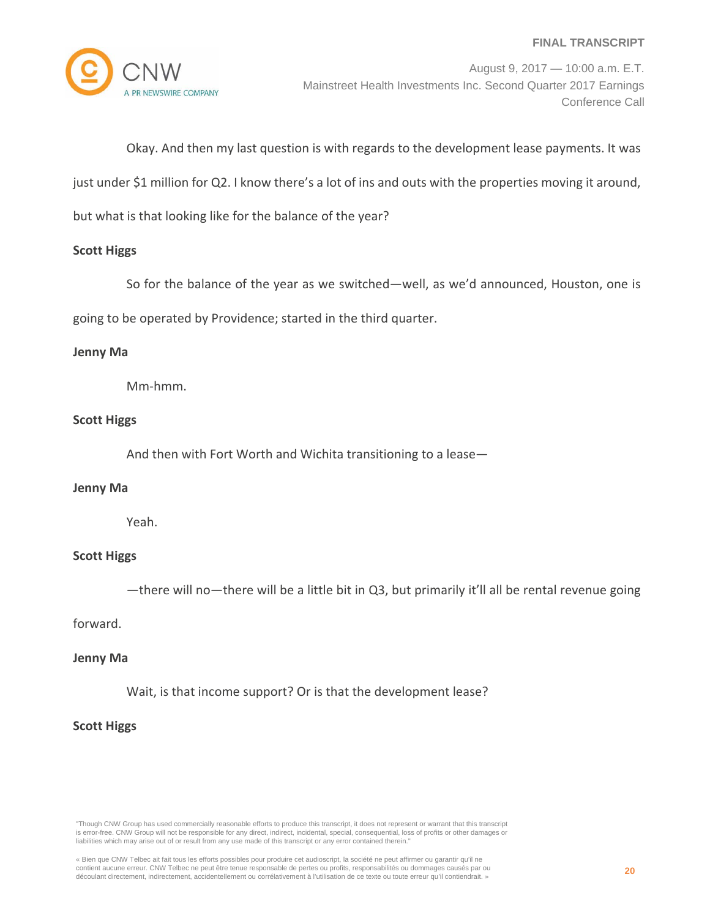

August 9, 2017 — 10:00 a.m. E.T. Mainstreet Health Investments Inc. Second Quarter 2017 Earnings Conference Call

Okay. And then my last question is with regards to the development lease payments. It was

just under \$1 million for Q2. I know there's a lot of ins and outs with the properties moving it around,

but what is that looking like for the balance of the year?

#### **Scott Higgs**

So for the balance of the year as we switched—well, as we'd announced, Houston, one is

going to be operated by Providence; started in the third quarter.

#### **Jenny Ma**

Mm‐hmm.

## **Scott Higgs**

And then with Fort Worth and Wichita transitioning to a lease—

#### **Jenny Ma**

Yeah.

#### **Scott Higgs**

—there will no—there will be a little bit in Q3, but primarily it'll all be rental revenue going

#### forward.

#### **Jenny Ma**

Wait, is that income support? Or is that the development lease?

## **Scott Higgs**

"Though CNW Group has used commercially reasonable efforts to produce this transcript, it does not represent or warrant that this transcript is error-free. CNW Group will not be responsible for any direct, indirect, incidental, special, consequential, loss of profits or other damages or liabilities which may arise out of or result from any use made of this transcript or any error contained therein."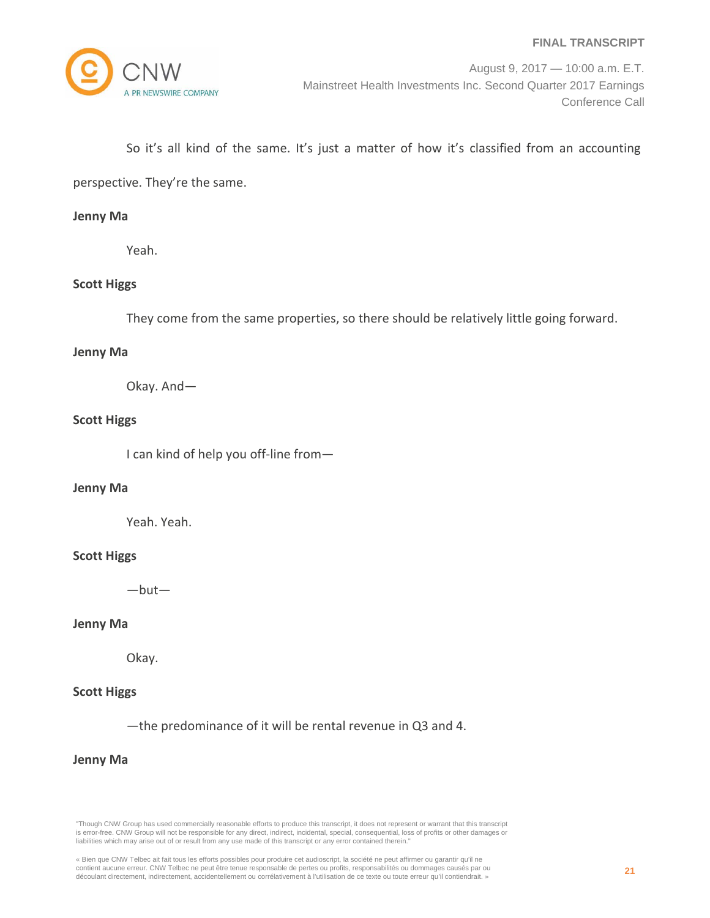

## So it's all kind of the same. It's just a matter of how it's classified from an accounting

perspective. They're the same.

#### **Jenny Ma**

Yeah.

## **Scott Higgs**

They come from the same properties, so there should be relatively little going forward.

#### **Jenny Ma**

Okay. And—

## **Scott Higgs**

I can kind of help you off-line from-

#### **Jenny Ma**

Yeah. Yeah.

#### **Scott Higgs**

—but—

## **Jenny Ma**

Okay.

## **Scott Higgs**

—the predominance of it will be rental revenue in Q3 and 4.

#### **Jenny Ma**

<sup>«</sup> Bien que CNW Telbec ait fait tous les efforts possibles pour produire cet audioscript, la société ne peut affirmer ou garantir qu'il ne contient aucune erreur. CNW Telbec ne peut être tenue responsable de pertes ou profits, responsabilités ou dommages causés par ou découlant directement, indirectement, accidentellement ou corrélativement à l'utilisation de ce texte ou toute erreur qu'il contiendrait. »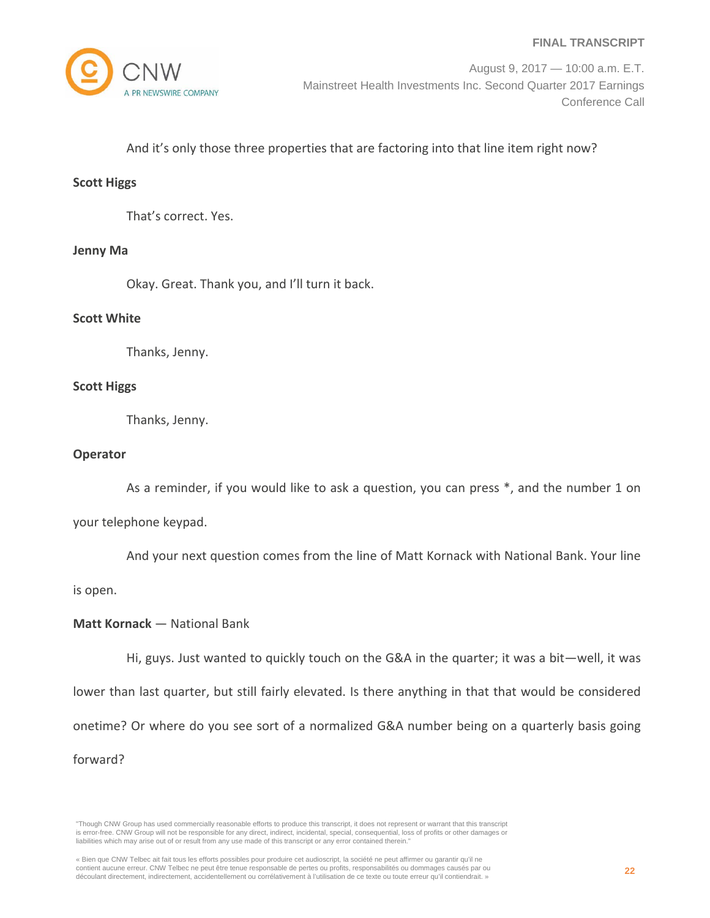

## And it's only those three properties that are factoring into that line item right now?

#### **Scott Higgs**

That's correct. Yes.

#### **Jenny Ma**

Okay. Great. Thank you, and I'll turn it back.

#### **Scott White**

Thanks, Jenny.

#### **Scott Higgs**

Thanks, Jenny.

#### **Operator**

As a reminder, if you would like to ask a question, you can press \*, and the number 1 on

your telephone keypad.

And your next question comes from the line of Matt Kornack with National Bank. Your line

is open.

#### **Matt Kornack** — National Bank

Hi, guys. Just wanted to quickly touch on the G&A in the quarter; it was a bit—well, it was lower than last quarter, but still fairly elevated. Is there anything in that that would be considered onetime? Or where do you see sort of a normalized G&A number being on a quarterly basis going forward?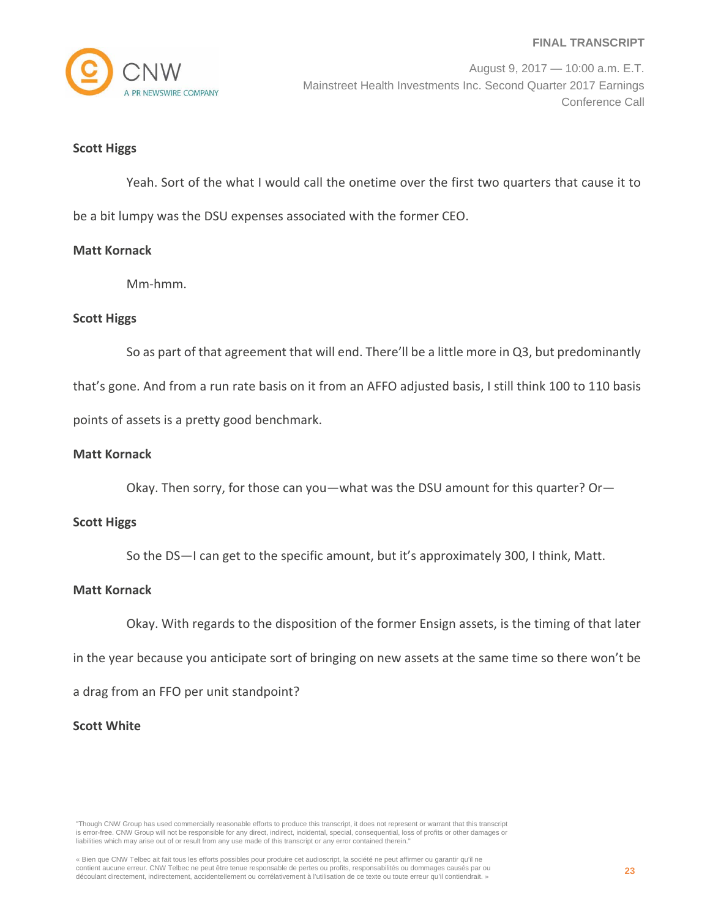

#### **Scott Higgs**

Yeah. Sort of the what I would call the onetime over the first two quarters that cause it to be a bit lumpy was the DSU expenses associated with the former CEO.

#### **Matt Kornack**

Mm‐hmm.

## **Scott Higgs**

So as part of that agreement that will end. There'll be a little more in Q3, but predominantly

that's gone. And from a run rate basis on it from an AFFO adjusted basis, I still think 100 to 110 basis points of assets is a pretty good benchmark.

#### **Matt Kornack**

Okay. Then sorry, for those can you—what was the DSU amount for this quarter? Or—

#### **Scott Higgs**

So the DS—I can get to the specific amount, but it's approximately 300, I think, Matt.

#### **Matt Kornack**

Okay. With regards to the disposition of the former Ensign assets, is the timing of that later

in the year because you anticipate sort of bringing on new assets at the same time so there won't be

a drag from an FFO per unit standpoint?

#### **Scott White**

"Though CNW Group has used commercially reasonable efforts to produce this transcript, it does not represent or warrant that this transcript is error-free. CNW Group will not be responsible for any direct, indirect, incidental, special, consequential, loss of profits or other damages or liabilities which may arise out of or result from any use made of this transcript or any error contained therein."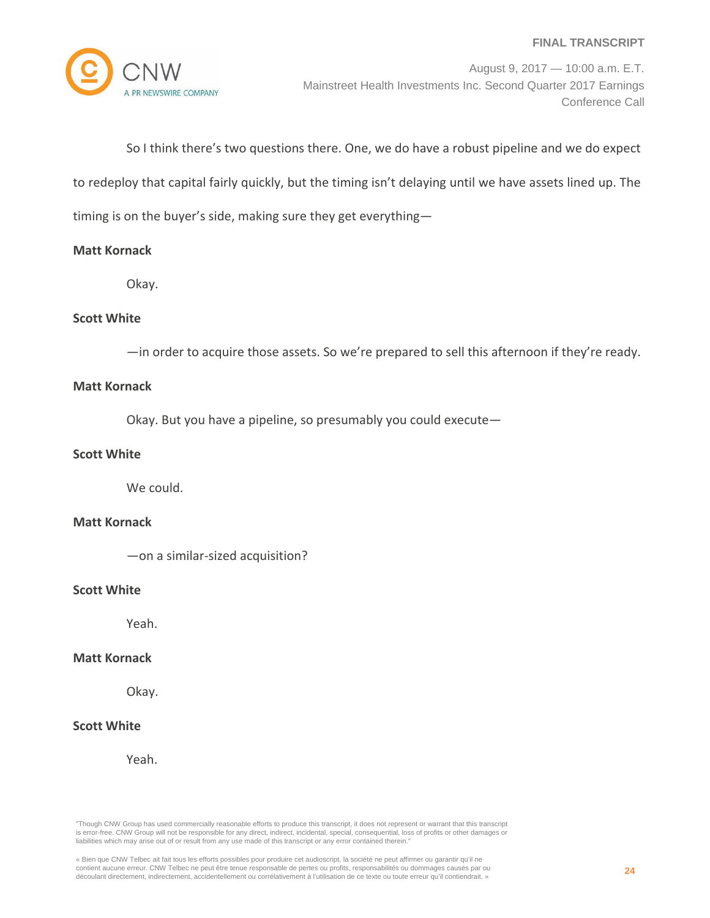

August 9, 2017 — 10:00 a.m. E.T. Mainstreet Health Investments Inc. Second Quarter 2017 Earnings Conference Call

So I think there's two questions there. One, we do have a robust pipeline and we do expect

to redeploy that capital fairly quickly, but the timing isn't delaying until we have assets lined up. The

timing is on the buyer's side, making sure they get everything—

## **Matt Kornack**

Okay.

## **Scott White**

—in order to acquire those assets. So we're prepared to sell this afternoon if they're ready.

## **Matt Kornack**

Okay. But you have a pipeline, so presumably you could execute—

## **Scott White**

We could.

#### **Matt Kornack**

—on a similar‐sized acquisition?

#### **Scott White**

Yeah.

#### **Matt Kornack**

Okay.

## **Scott White**

Yeah.

"Though CNW Group has used commercially reasonable efforts to produce this transcript, it does not represent or warrant that this transcript is error-free. CNW Group will not be responsible for any direct, indirect, incidental, special, consequential, loss of profits or other damages or liabilities which may arise out of or result from any use made of this transcript or any error contained therein."